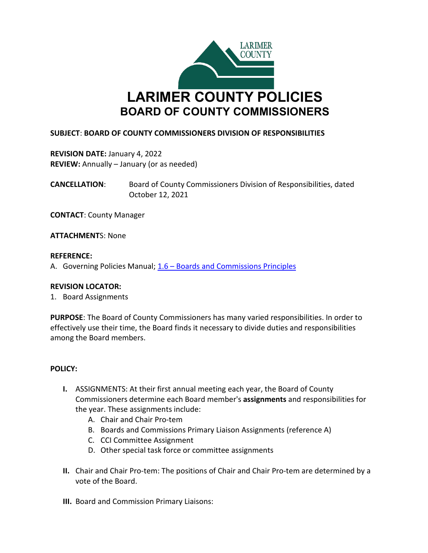

### **SUBJECT**: **BOARD OF COUNTY COMMISSIONERS DIVISION OF RESPONSIBILITIES**

**REVISION DATE:** January 4, 2022 **REVIEW:** Annually – January (or as needed)

**CANCELLATION**: Board of County Commissioners Division of Responsibilities, dated October 12, 2021

**CONTACT**: County Manager

**ATTACHMENT**S: None

#### **REFERENCE:**

A. Governing Policies Manual; 1.6 – [Boards and Commissions Principles](http://www.larimer.org/policies/governing_policies.pdf)

### **REVISION LOCATOR:**

1. Board Assignments

**PURPOSE**: The Board of County Commissioners has many varied responsibilities. In order to effectively use their time, the Board finds it necessary to divide duties and responsibilities among the Board members.

### **POLICY:**

- **I.** ASSIGNMENTS: At their first annual meeting each year, the Board of County Commissioners determine each Board member's **assignments** and responsibilities for the year. These assignments include:
	- A. Chair and Chair Pro-tem
	- B. Boards and Commissions Primary Liaison Assignments (reference A)
	- C. CCI Committee Assignment
	- D. Other special task force or committee assignments
- **II.** Chair and Chair Pro-tem: The positions of Chair and Chair Pro-tem are determined by a vote of the Board.
- **III.** Board and Commission Primary Liaisons: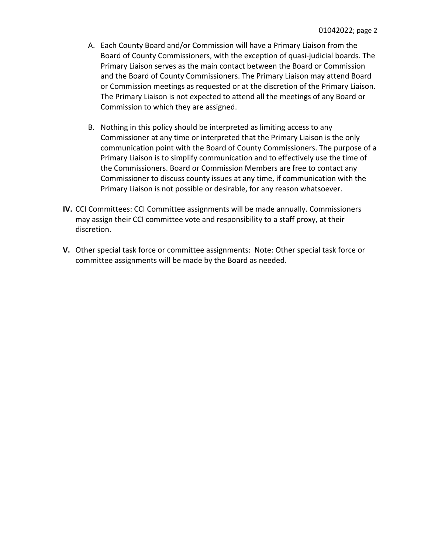- A. Each County Board and/or Commission will have a Primary Liaison from the Board of County Commissioners, with the exception of quasi-judicial boards. The Primary Liaison serves as the main contact between the Board or Commission and the Board of County Commissioners. The Primary Liaison may attend Board or Commission meetings as requested or at the discretion of the Primary Liaison. The Primary Liaison is not expected to attend all the meetings of any Board or Commission to which they are assigned.
- B. Nothing in this policy should be interpreted as limiting access to any Commissioner at any time or interpreted that the Primary Liaison is the only communication point with the Board of County Commissioners. The purpose of a Primary Liaison is to simplify communication and to effectively use the time of the Commissioners. Board or Commission Members are free to contact any Commissioner to discuss county issues at any time, if communication with the Primary Liaison is not possible or desirable, for any reason whatsoever.
- **IV.** CCI Committees: CCI Committee assignments will be made annually. Commissioners may assign their CCI committee vote and responsibility to a staff proxy, at their discretion.
- **V.** Other special task force or committee assignments: Note: Other special task force or committee assignments will be made by the Board as needed.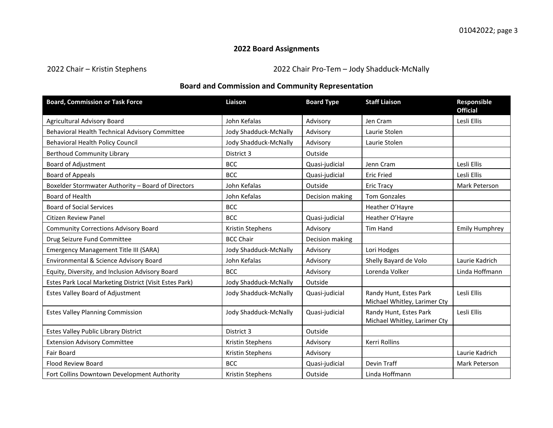# **2022 Board Assignments**

2022 Chair – Kristin Stephens 2022 Chair Pro-Tem – Jody Shadduck-McNally

# **Board and Commission and Community Representation**

| <b>Board, Commission or Task Force</b>                 | Liaison               | <b>Board Type</b> | <b>Staff Liaison</b>                                   | Responsible<br><b>Official</b> |
|--------------------------------------------------------|-----------------------|-------------------|--------------------------------------------------------|--------------------------------|
| Agricultural Advisory Board                            | John Kefalas          | Advisory          | Jen Cram                                               | Lesli Ellis                    |
| Behavioral Health Technical Advisory Committee         | Jody Shadduck-McNally | Advisory          | Laurie Stolen                                          |                                |
| <b>Behavioral Health Policy Council</b>                | Jody Shadduck-McNally | Advisory          | Laurie Stolen                                          |                                |
| <b>Berthoud Community Library</b>                      | District 3            | Outside           |                                                        |                                |
| Board of Adjustment                                    | <b>BCC</b>            | Quasi-judicial    | Jenn Cram                                              | Lesli Ellis                    |
| <b>Board of Appeals</b>                                | <b>BCC</b>            | Quasi-judicial    | <b>Eric Fried</b>                                      | Lesli Ellis                    |
| Boxelder Stormwater Authority - Board of Directors     | John Kefalas          | Outside           | <b>Eric Tracy</b>                                      | Mark Peterson                  |
| Board of Health                                        | John Kefalas          | Decision making   | <b>Tom Gonzales</b>                                    |                                |
| <b>Board of Social Services</b>                        | <b>BCC</b>            |                   | Heather O'Hayre                                        |                                |
| Citizen Review Panel                                   | <b>BCC</b>            | Quasi-judicial    | Heather O'Hayre                                        |                                |
| <b>Community Corrections Advisory Board</b>            | Kristin Stephens      | Advisory          | Tim Hand                                               | <b>Emily Humphrey</b>          |
| Drug Seizure Fund Committee                            | <b>BCC Chair</b>      | Decision making   |                                                        |                                |
| Emergency Management Title III (SARA)                  | Jody Shadduck-McNally | Advisory          | Lori Hodges                                            |                                |
| Environmental & Science Advisory Board                 | John Kefalas          | Advisory          | Shelly Bayard de Volo                                  | Laurie Kadrich                 |
| Equity, Diversity, and Inclusion Advisory Board        | <b>BCC</b>            | Advisory          | Lorenda Volker                                         | Linda Hoffmann                 |
| Estes Park Local Marketing District (Visit Estes Park) | Jody Shadduck-McNally | Outside           |                                                        |                                |
| Estes Valley Board of Adjustment                       | Jody Shadduck-McNally | Quasi-judicial    | Randy Hunt, Estes Park<br>Michael Whitley, Larimer Cty | Lesli Ellis                    |
| <b>Estes Valley Planning Commission</b>                | Jody Shadduck-McNally | Quasi-judicial    | Randy Hunt, Estes Park<br>Michael Whitley, Larimer Cty | Lesli Ellis                    |
| Estes Valley Public Library District                   | District 3            | Outside           |                                                        |                                |
| <b>Extension Advisory Committee</b>                    | Kristin Stephens      | Advisory          | Kerri Rollins                                          |                                |
| <b>Fair Board</b>                                      | Kristin Stephens      | Advisory          |                                                        | Laurie Kadrich                 |
| <b>Flood Review Board</b>                              | <b>BCC</b>            | Quasi-judicial    | Devin Traff                                            | Mark Peterson                  |
| Fort Collins Downtown Development Authority            | Kristin Stephens      | Outside           | Linda Hoffmann                                         |                                |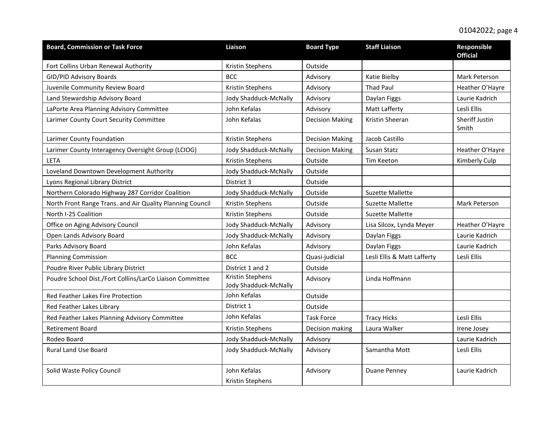| <b>Board, Commission or Task Force</b>                    | Liaison                                   | <b>Board Type</b>      | <b>Staff Liaison</b>        | <b>Responsible</b><br><b>Official</b> |
|-----------------------------------------------------------|-------------------------------------------|------------------------|-----------------------------|---------------------------------------|
| Fort Collins Urban Renewal Authority                      | Kristin Stephens                          | Outside                |                             |                                       |
| GID/PID Advisory Boards                                   | <b>BCC</b>                                | Advisory               | Katie Bielby                | Mark Peterson                         |
| Juvenile Community Review Board                           | Kristin Stephens                          | Advisory               | <b>Thad Paul</b>            | Heather O'Hayre                       |
| Land Stewardship Advisory Board                           | Jody Shadduck-McNally                     | Advisory               | Daylan Figgs                | Laurie Kadrich                        |
| LaPorte Area Planning Advisory Committee                  | John Kefalas                              | Advisory               | Matt Lafferty               | Lesli Ellis                           |
| Larimer County Court Security Committee                   | John Kefalas                              | <b>Decision Making</b> | Kristin Sheeran             | Sheriff Justin<br>Smith               |
| Larimer County Foundation                                 | Kristin Stephens                          | <b>Decision Making</b> | Jacob Castillo              |                                       |
| Larimer County Interagency Oversight Group (LCIOG)        | Jody Shadduck-McNally                     | <b>Decision Making</b> | Susan Statz                 | Heather O'Hayre                       |
| LETA                                                      | Kristin Stephens                          | Outside                | Tim Keeton                  | Kimberly Culp                         |
| Loveland Downtown Development Authority                   | Jody Shadduck-McNally                     | Outside                |                             |                                       |
| Lyons Regional Library District                           | District 3                                | Outside                |                             |                                       |
| Northern Colorado Highway 287 Corridor Coalition          | Jody Shadduck-McNally                     | Outside                | <b>Suzette Mallette</b>     |                                       |
| North Front Range Trans. and Air Quality Planning Council | Kristin Stephens                          | Outside                | <b>Suzette Mallette</b>     | Mark Peterson                         |
| North I-25 Coalition                                      | Kristin Stephens                          | Outside                | <b>Suzette Mallette</b>     |                                       |
| Office on Aging Advisory Council                          | Jody Shadduck-McNally                     | Advisory               | Lisa Silcox, Lynda Meyer    | Heather O'Hayre                       |
| Open Lands Advisory Board                                 | Jody Shadduck-McNally                     | Advisory               | Daylan Figgs                | Laurie Kadrich                        |
| Parks Advisory Board                                      | John Kefalas                              | Advisory               | Daylan Figgs                | Laurie Kadrich                        |
| <b>Planning Commission</b>                                | <b>BCC</b>                                | Quasi-judicial         | Lesli Ellis & Matt Lafferty | Lesli Ellis                           |
| Poudre River Public Library District                      | District 1 and 2                          | Outside                |                             |                                       |
| Poudre School Dist./Fort Collins/LarCo Liaison Committee  | Kristin Stephens<br>Jody Shadduck-McNally | Advisory               | Linda Hoffmann              |                                       |
| Red Feather Lakes Fire Protection                         | John Kefalas                              | Outside                |                             |                                       |
| Red Feather Lakes Library                                 | District 1                                | Outside                |                             |                                       |
| Red Feather Lakes Planning Advisory Committee             | John Kefalas                              | <b>Task Force</b>      | <b>Tracy Hicks</b>          | Lesli Ellis                           |
| <b>Retirement Board</b>                                   | Kristin Stephens                          | Decision making        | Laura Walker                | Irene Josey                           |
| Rodeo Board                                               | Jody Shadduck-McNally                     | Advisory               |                             | Laurie Kadrich                        |
| <b>Rural Land Use Board</b>                               | Jody Shadduck-McNally                     | Advisory               | Samantha Mott               | Lesli Ellis                           |
| Solid Waste Policy Council                                | John Kefalas<br>Kristin Stephens          | Advisory               | <b>Duane Penney</b>         | Laurie Kadrich                        |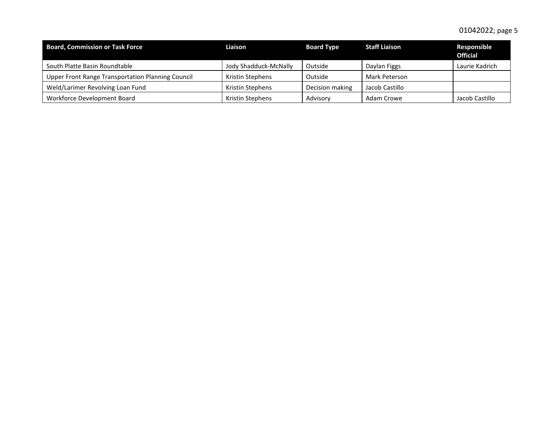| <b>Board, Commission or Task Force</b>            | Liaison               | <b>Board Type</b> | <b>Staff Liaison</b> | Responsible<br><b>Official</b> |
|---------------------------------------------------|-----------------------|-------------------|----------------------|--------------------------------|
| South Platte Basin Roundtable                     | Jody Shadduck-McNally | Outside           | Daylan Figgs         | Laurie Kadrich                 |
| Upper Front Range Transportation Planning Council | Kristin Stephens      | Outside           | Mark Peterson        |                                |
| Weld/Larimer Revolving Loan Fund                  | Kristin Stephens      | Decision making   | Jacob Castillo       |                                |
| Workforce Development Board                       | Kristin Stephens      | Advisory          | Adam Crowe           | Jacob Castillo                 |